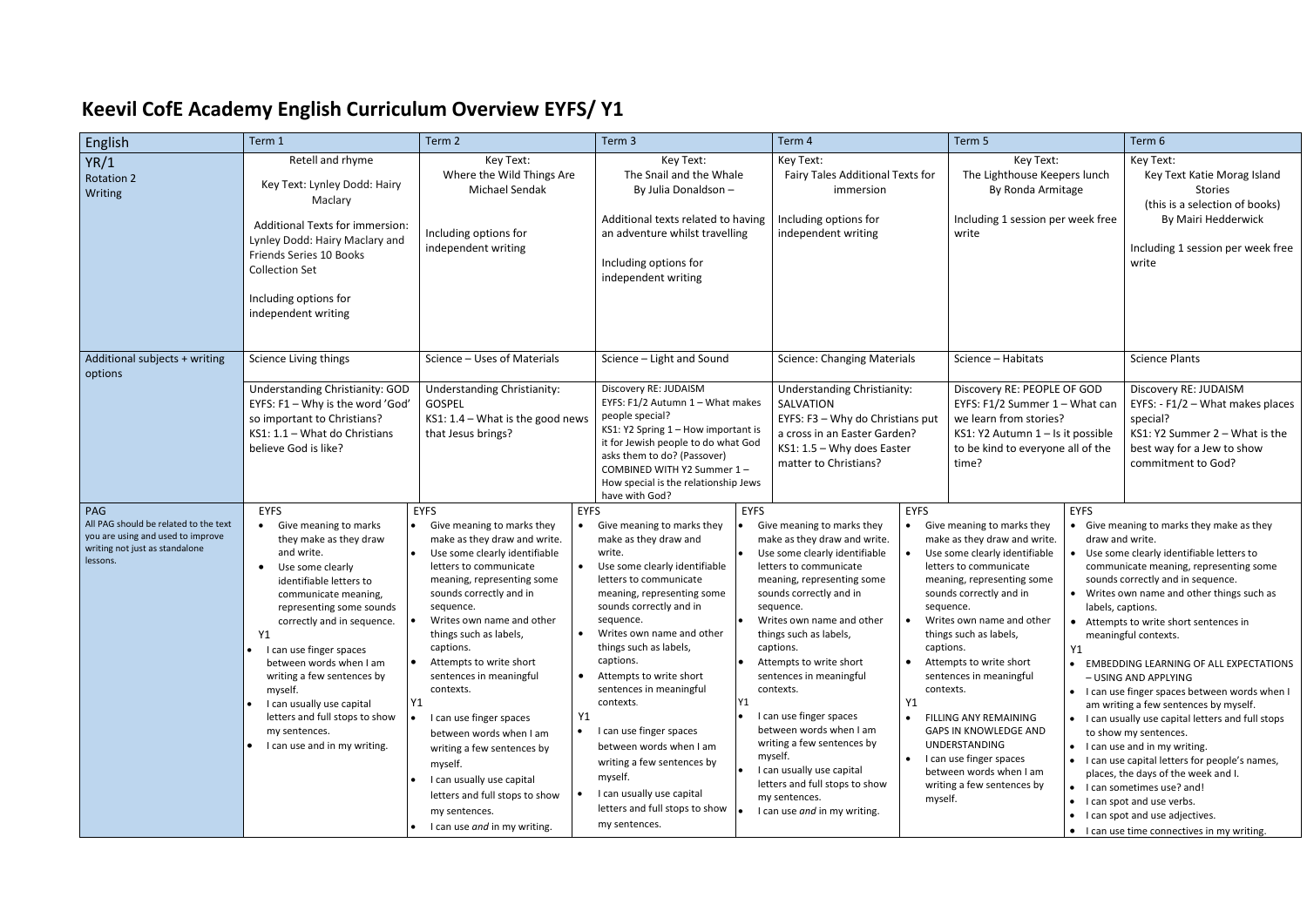## **Keevil CofE Academy English Curriculum Overview EYFS/ Y1**

| English                                                                                                                         | Term 1                                                                                                                                                                                                                                                                                                                                                                                                                                                             | Term 2                                                                                                                                                                                                                                                                                                                                                                                                                                                                                                                                                                                             | Term 3                                                                                                                                                                                                                                                                                                                                                                                                                                                                                                                                    | Term 4                                                                                                                                                                                                                                                                                                                                                                                                                                                                                                                                                                            | Term 5                                                                                                                                                                                                                                                                                                                                                                                                                                                                                                                                                               | Term 6                                                                                                                                                                                                                                                                                                                                                                                                                                                                                                                                                                                                                                                                                                                                                                                                          |
|---------------------------------------------------------------------------------------------------------------------------------|--------------------------------------------------------------------------------------------------------------------------------------------------------------------------------------------------------------------------------------------------------------------------------------------------------------------------------------------------------------------------------------------------------------------------------------------------------------------|----------------------------------------------------------------------------------------------------------------------------------------------------------------------------------------------------------------------------------------------------------------------------------------------------------------------------------------------------------------------------------------------------------------------------------------------------------------------------------------------------------------------------------------------------------------------------------------------------|-------------------------------------------------------------------------------------------------------------------------------------------------------------------------------------------------------------------------------------------------------------------------------------------------------------------------------------------------------------------------------------------------------------------------------------------------------------------------------------------------------------------------------------------|-----------------------------------------------------------------------------------------------------------------------------------------------------------------------------------------------------------------------------------------------------------------------------------------------------------------------------------------------------------------------------------------------------------------------------------------------------------------------------------------------------------------------------------------------------------------------------------|----------------------------------------------------------------------------------------------------------------------------------------------------------------------------------------------------------------------------------------------------------------------------------------------------------------------------------------------------------------------------------------------------------------------------------------------------------------------------------------------------------------------------------------------------------------------|-----------------------------------------------------------------------------------------------------------------------------------------------------------------------------------------------------------------------------------------------------------------------------------------------------------------------------------------------------------------------------------------------------------------------------------------------------------------------------------------------------------------------------------------------------------------------------------------------------------------------------------------------------------------------------------------------------------------------------------------------------------------------------------------------------------------|
| YR/1<br><b>Rotation 2</b><br>Writing                                                                                            | Retell and rhyme<br>Key Text: Lynley Dodd: Hairy<br>Maclary<br>Additional Texts for immersion:<br>Lynley Dodd: Hairy Maclary and<br>Friends Series 10 Books<br><b>Collection Set</b><br>Including options for<br>independent writing                                                                                                                                                                                                                               | Key Text:<br>Where the Wild Things Are<br>Michael Sendak<br>Including options for<br>independent writing                                                                                                                                                                                                                                                                                                                                                                                                                                                                                           | Key Text:<br>The Snail and the Whale<br>By Julia Donaldson -<br>Additional texts related to having<br>an adventure whilst travelling<br>Including options for<br>independent writing                                                                                                                                                                                                                                                                                                                                                      | Key Text:<br>Fairy Tales Additional Texts for<br>immersion<br>Including options for<br>independent writing                                                                                                                                                                                                                                                                                                                                                                                                                                                                        | Key Text:<br>The Lighthouse Keepers lunch<br>By Ronda Armitage<br>Including 1 session per week free<br>write                                                                                                                                                                                                                                                                                                                                                                                                                                                         | Key Text:<br>Key Text Katie Morag Island<br><b>Stories</b><br>(this is a selection of books)<br>By Mairi Hedderwick<br>Including 1 session per week free<br>write                                                                                                                                                                                                                                                                                                                                                                                                                                                                                                                                                                                                                                               |
| Additional subjects + writing<br>options                                                                                        | Science Living things                                                                                                                                                                                                                                                                                                                                                                                                                                              | Science - Uses of Materials                                                                                                                                                                                                                                                                                                                                                                                                                                                                                                                                                                        | Science - Light and Sound                                                                                                                                                                                                                                                                                                                                                                                                                                                                                                                 | <b>Science: Changing Materials</b>                                                                                                                                                                                                                                                                                                                                                                                                                                                                                                                                                | Science - Habitats                                                                                                                                                                                                                                                                                                                                                                                                                                                                                                                                                   | <b>Science Plants</b>                                                                                                                                                                                                                                                                                                                                                                                                                                                                                                                                                                                                                                                                                                                                                                                           |
|                                                                                                                                 | Understanding Christianity: GOD<br>EYFS: F1 - Why is the word 'God'<br>so important to Christians?<br>$KS1: 1.1 - What do Christians$<br>believe God is like?                                                                                                                                                                                                                                                                                                      | <b>Understanding Christianity:</b><br><b>GOSPEL</b><br>KS1: $1.4$ - What is the good news<br>that Jesus brings?                                                                                                                                                                                                                                                                                                                                                                                                                                                                                    | Discovery RE: JUDAISM<br>EYFS: F1/2 Autumn 1 - What makes<br>people special?<br>KS1: Y2 Spring 1 - How important is<br>it for Jewish people to do what God<br>asks them to do? (Passover)<br>COMBINED WITH Y2 Summer 1-<br>How special is the relationship Jews<br>have with God?                                                                                                                                                                                                                                                         | Understanding Christianity:<br>SALVATION<br>EYFS: F3 - Why do Christians put<br>a cross in an Easter Garden?<br>$KS1: 1.5 - Why does Easter$<br>matter to Christians?                                                                                                                                                                                                                                                                                                                                                                                                             | Discovery RE: PEOPLE OF GOD<br>EYFS: F1/2 Summer 1 - What can<br>we learn from stories?<br>KS1: Y2 Autumn 1 - Is it possible<br>to be kind to everyone all of the<br>time?                                                                                                                                                                                                                                                                                                                                                                                           | Discovery RE: JUDAISM<br>EYFS: - F1/2 - What makes places<br>special?<br>KS1: Y2 Summer 2 - What is the<br>best way for a Jew to show<br>commitment to God?                                                                                                                                                                                                                                                                                                                                                                                                                                                                                                                                                                                                                                                     |
| PAG<br>All PAG should be related to the text<br>you are using and used to improve<br>writing not just as standalone<br>lessons. | <b>EYFS</b><br>Give meaning to marks<br>$\bullet$<br>$\bullet$<br>they make as they draw<br>and write.<br>Use some clearly<br>identifiable letters to<br>communicate meaning,<br>representing some sounds<br>correctly and in sequence.<br>Y1<br>I can use finger spaces<br>between words when I am<br>writing a few sentences by<br>myself.<br>Y1<br>I can usually use capital<br>letters and full stops to show<br>my sentences.<br>I can use and in my writing. | <b>EYFS</b><br><b>EYFS</b><br>Give meaning to marks they<br>make as they draw and write.<br>Use some clearly identifiable<br>letters to communicate<br>meaning, representing some<br>sounds correctly and in<br>sequence.<br>Writes own name and other<br>things such as labels,<br>captions.<br>Attempts to write short<br>sentences in meaningful<br>contexts.<br>Y1<br>I can use finger spaces<br>$\bullet$<br>between words when I am<br>writing a few sentences by<br>myself.<br>I can usually use capital<br>letters and full stops to show<br>my sentences.<br>I can use and in my writing. | <b>EYFS</b><br>Give meaning to marks they<br>make as they draw and<br>write.<br>Use some clearly identifiable<br>letters to communicate<br>meaning, representing some<br>sounds correctly and in<br>sequence.<br>Writes own name and other<br>things such as labels,<br>captions.<br>Attempts to write short<br>sentences in meaningful<br>Y1<br>contexts.<br>I can use finger spaces<br>between words when I am<br>writing a few sentences by<br>myself.<br>I can usually use capital<br>letters and full stops to show<br>my sentences. | <b>EYFS</b><br>Give meaning to marks they<br>make as they draw and write.<br>Use some clearly identifiable<br>letters to communicate<br>meaning, representing some<br>sounds correctly and in<br>sequence.<br>Writes own name and other<br>things such as labels,<br>captions.<br>Attempts to write short<br>sentences in meaningful<br>contexts.<br>Y1<br>I can use finger spaces<br>between words when I am<br>writing a few sentences by<br>myself.<br>I can usually use capital<br>letters and full stops to show<br>my sentences.<br>myself.<br>I can use and in my writing. | <b>EYFS</b><br>Give meaning to marks they<br>make as they draw and write.<br>draw and write.<br>Use some clearly identifiable<br>letters to communicate<br>meaning, representing some<br>sounds correctly and in<br>sequence.<br>labels, captions.<br>Writes own name and other<br>things such as labels,<br>captions.<br>Υ1<br>Attempts to write short<br>sentences in meaningful<br>contexts.<br><b>FILLING ANY REMAINING</b><br>GAPS IN KNOWLEDGE AND<br><b>UNDERSTANDING</b><br>I can use finger spaces<br>between words when I am<br>writing a few sentences by | • Give meaning to marks they make as they<br>Use some clearly identifiable letters to<br>communicate meaning, representing some<br>sounds correctly and in sequence.<br>• Writes own name and other things such as<br>• Attempts to write short sentences in<br>meaningful contexts.<br>• EMBEDDING LEARNING OF ALL EXPECTATIONS<br>- USING AND APPLYING<br>• I can use finger spaces between words when I<br>am writing a few sentences by myself.<br>• I can usually use capital letters and full stops<br>to show my sentences.<br>• I can use and in my writing.<br>• I can use capital letters for people's names,<br>places, the days of the week and I.<br>• I can sometimes use? and!<br>• I can spot and use verbs.<br>• I can spot and use adjectives.<br>• I can use time connectives in my writing. |